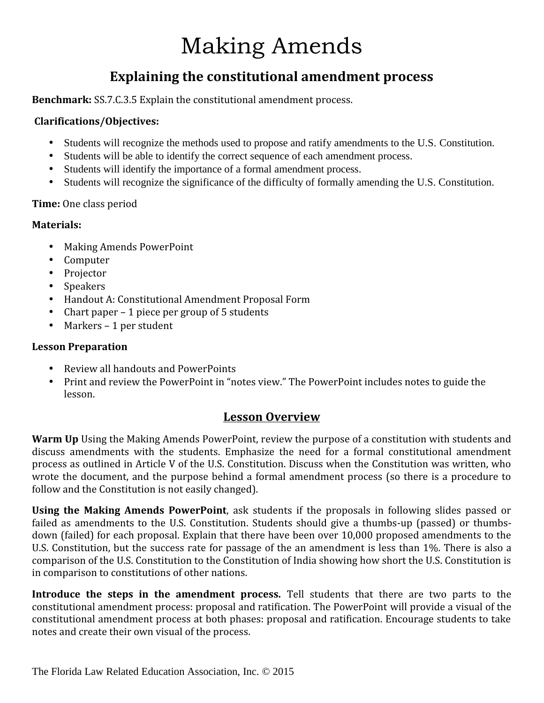# Making Amends

### **Explaining the constitutional amendment process**

**Benchmark:** SS.7.C.3.5 Explain the constitutional amendment process.

#### **Clarifications/Objectives:**

- Students will recognize the methods used to propose and ratify amendments to the U.S. Constitution.
- Students will be able to identify the correct sequence of each amendment process.
- Students will identify the importance of a formal amendment process.
- Students will recognize the significance of the difficulty of formally amending the U.S. Constitution.

#### **Time:** One class period

#### **Materials:**

- 
- 
- 
- 
- Making Amends PowerPoint<br>• Computer<br>• Projector<br>• Speakers<br>• Handout A: Constitutional Amendment Proposal Form
- Chart paper 1 piece per group of 5 students<br>• Markers 1 per student
- 

#### **Lesson Preparation**

- 
- Review all handouts and PowerPoints<br>• Print and review the PowerPoint in "notes view." The PowerPoint includes notes to guide the lesson.

#### **Lesson Overview**

**Warm Up** Using the Making Amends PowerPoint, review the purpose of a constitution with students and discuss amendments with the students. Emphasize the need for a formal constitutional amendment process as outlined in Article V of the U.S. Constitution. Discuss when the Constitution was written, who wrote the document, and the purpose behind a formal amendment process (so there is a procedure to follow and the Constitution is not easily changed).

**Using the Making Amends PowerPoint**, ask students if the proposals in following slides passed or failed as amendments to the U.S. Constitution. Students should give a thumbs-up (passed) or thumbs down (failed) for each proposal. Explain that there have been over 10,000 proposed amendments to the U.S. Constitution, but the success rate for passage of the an amendment is less than 1%. There is also a comparison of the U.S. Constitution to the Constitution of India showing how short the U.S. Constitution is in comparison to constitutions of other nations.

**Introduce the steps in the amendment process.** Tell students that there are two parts to the constitutional amendment process: proposal and ratification. The PowerPoint will provide a visual of the constitutional amendment process at both phases: proposal and ratification. Encourage students to take notes and create their own visual of the process.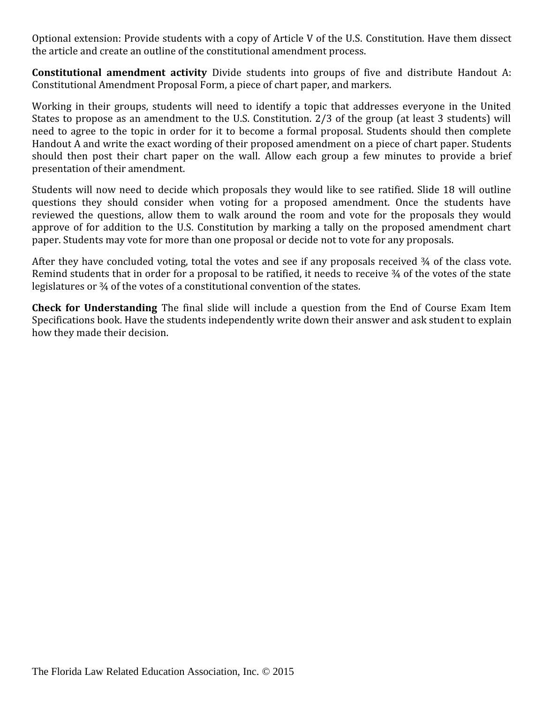Optional extension: Provide students with a copy of Article V of the U.S. Constitution. Have them dissect the article and create an outline of the constitutional amendment process.

**Constitutional amendment activity** Divide students into groups of five and distribute Handout A: Constitutional Amendment Proposal Form, a piece of chart paper, and markers.

Working in their groups, students will need to identify a topic that addresses everyone in the United States to propose as an amendment to the U.S. Constitution. 2/3 of the group (at least 3 students) will need to agree to the topic in order for it to become a formal proposal. Students should then complete Handout A and write the exact wording of their proposed amendment on a piece of chart paper. Students should then post their chart paper on the wall. Allow each group a few minutes to provide a brief presentation of their amendment.

Students will now need to decide which proposals they would like to see ratified. Slide 18 will outline questions they should consider when voting for a proposed amendment. Once the students have reviewed the questions, allow them to walk around the room and vote for the proposals they would approve of for addition to the U.S. Constitution by marking a tally on the proposed amendment chart paper. Students may vote for more than one proposal or decide not to vote for any proposals.

After they have concluded voting, total the votes and see if any proposals received 3/4 of the class vote. Remind students that in order for a proposal to be ratified, it needs to receive 34 of the votes of the state legislatures or ¾ of the votes of a constitutional convention of the states.

**Check for Understanding** The final slide will include a question from the End of Course Exam Item Specifications book. Have the students independently write down their answer and ask student to explain how they made their decision.